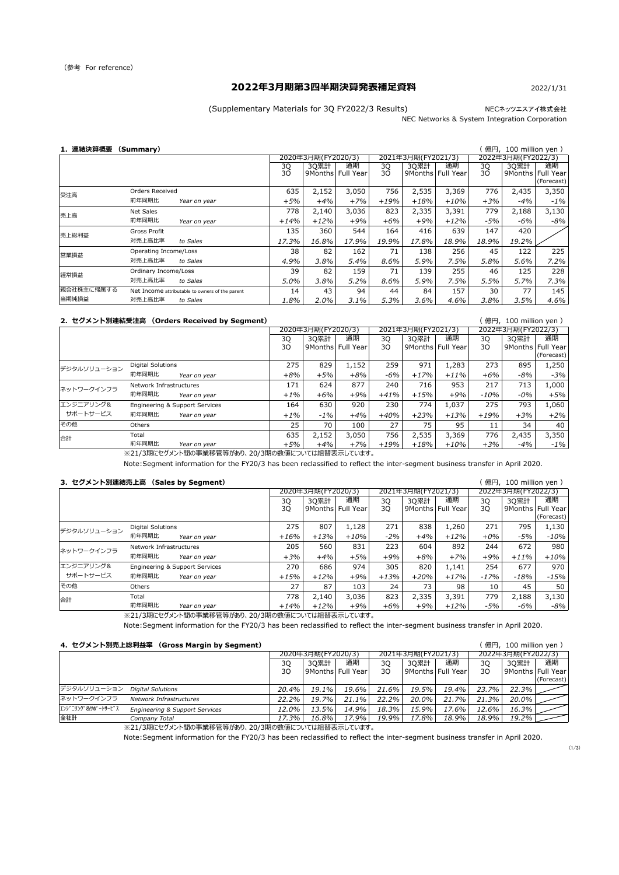NECネッツエスアイ株式会社

NEC Networks & System Integration Corporation

## **1.連結決算概要 (Summary)** ( 億円, 100 million yen )

#### **2.セグメント別連結受注高 (Orders Received by Segment)** ( 億円, 100 million yen )

※21/3期にセグメント間の事業移管等があり、20/3期の数値については組替表示しています。

Note:Segment information for the FY20/3 has been reclassified to reflect the inter-segment business transfer in April 2020.

#### **3.セグメント別連結売上高 (Sales by Segment)** ( 億円, 100 million yen )

3Q | 3Q累計 | 通期 | 3Q | 3Q累計 | 通期 | 3Q | 3Q累計 | 通期 3Q | 9Months | Full Year | 3Q | 9Months | Full Year | 3Q | 9Months | Full Year (Forecast) Digital Solutions 275 | 275 | 275 | 277 | 271 | 273 | 274 | 275 | 275 | 275 | 275 | 275 | 275 | 276 | 271 | 27 *前年同期比 Year on year +16% +13% +10% -2% +4% +12% +0% -5% -10%* Network Infrastructures 1980 | 205 | 205 | 260 | 223 | 204 | 292 | 244 | 272 | 280 *前年同期比 Year on year +3% +4% +5% +9% +8% +7% +9% +11% +10%* Engineering & Support Services | 270 | 686 | 974 | 305 | 820 | 1,141 | 254 | 677 | 970 *前年同期比 Year on year +15% +12% +9% +13% +20% +17% -17% -18% -15%* Others 27 | 87 | 103 | 24 | 73 | 98 | 10 | 45 | 50 Total 778 2,140 3,036 823 2,335 3,391 779 2,188 3,130 *前年同期比 Year on year +14% +12% +9% +6% +9% +12% -5% -6% -8%* 合計 その他 エンジニアリング& サポートサービス ネットワークインフラ 2020年3月期(FY2020/3) | 2021年3月期(FY2021/3) | 2022年3月期(FY2022/3) デジタルソリューション 2021年3月期(FY2021/3)

3Q | 3Q累計 | 通期 | 3Q | 3Q累計 | 通期 | 3Q | 3Q累計 | 通期 3Q | 9Months | Full Year | 3Q | 9Months | Full Year | 3Q | 9Months | Full Year (Forecast) Digital Solutions 275 829 1,152 259 971 1,283 273 895 1,250 *前年同期比 Year on year +8% +5% +8% -6% +17% +11% +6% -8% -3%* Network Infrastructures 1888 171 | 171 | 172 | 172 | 172 | 240 | 716 | 953 | 217 | 713 | 1,000 *前年同期比 Year on year +1% +6% +9% +41% +15% +9% -10% -0% +5%* Engineering & Support Services 164 | 630 | 920 | 230 | 774 | 1,037 | 275 | 793 | 1,060 *前年同期比 Year on year +1% -1% +4% +40% +23% +13% +19% +3% +2%* Others 25 70 100 27 75 95 11 34 40 その他 デジタルソリューション エンジニアリング& サポートサービス 2022年3月期(FY2022/3) 2021年3月期(FY2021/3) 2020年3月期(FY2020/3) ネットワークインフラ

|            |                             |                                                 |          | 2020年3月期(FY2020/3) |                           |          | 2021年3月期(FY2021/3) |                           | 2022年3月期(FY2022/3) |                 |                 |
|------------|-----------------------------|-------------------------------------------------|----------|--------------------|---------------------------|----------|--------------------|---------------------------|--------------------|-----------------|-----------------|
|            |                             |                                                 | 3Q<br>3Q | 3Q累計               | 通期<br>9Months   Full Year | 3Q<br>3Q | <b>30累計</b>        | 通期<br>9Months   Full Year | 3Q<br>3Q           | 3Q累計<br>9Months | 通期<br>Full Year |
|            |                             |                                                 |          |                    |                           |          |                    |                           |                    |                 | (Forecast)      |
| 受注高        | <b>Orders Received</b>      |                                                 | 635      | 2,152              | 3,050                     | 756      | 2,535              | 3,369                     | 776                | 2,435           | 3,350           |
|            | 前年同期比                       | Year on year                                    | $+5%$    | $+4%$              | $+7%$                     | $+19%$   | $+18%$             | $+10%$                    | $+3%$              | $-4%$           | $-1\%$          |
| 売上高        | Net Sales                   |                                                 | 778      | 2,140              | 3,036                     | 823      | 2,335              | 3,391                     | 779                | 2,188           | 3,130           |
|            | 前年同期比                       | Year on year                                    | $+14\%$  | $+12%$             | $+9%$                     | $+6%$    | $+9%$              | $+12%$                    | $-5%$              | $-6\%$          | $-8%$           |
| 売上総利益      | Gross Profit                |                                                 | 135      | 360                | 544                       | 164      | 416                | 639                       | 147                | 420             |                 |
|            | 対売上高比率                      | to Sales                                        | 17.3%    | 16.8%              | 17.9%                     | 19.9%    | 17.8%              | 18.9%                     | 18.9%              | 19.2%           |                 |
| 営業損益       | Operating Income/Loss       |                                                 | 38       | 82                 | 162                       | 71       | 138                | 256                       | 45                 | 122             | 225             |
|            | 対売上高比率                      | to Sales                                        | 4.9%     | 3.8%               | 5.4%                      | 8.6%     | 5.9%               | 7.5%                      | 5.8%               | 5.6%            | 7.2%            |
| 経常損益       | <b>Ordinary Income/Loss</b> |                                                 | 39       | 82                 | 159                       | 71       | 139                | 255                       | 46                 | 125             | 228             |
|            | 対売上高比率                      | to Sales                                        | 5.0%     | 3.8%               | 5.2%                      | 8.6%     | 5.9%               | 7.5%                      | 5.5%               | 5.7%            | 7.3%            |
| 親会社株主に帰属する |                             | Net Income attributable to owners of the parent | 14       | 43                 | 94                        | 44       | 84                 | 157                       | 30                 | 77              | 145             |
| 当期純損益      | 対売上高比率                      | to Sales                                        | 1.8%     | 2.0%               | 3.1%                      | 5.3%     | 3.6%               | 4.6%                      | 3.8%               | 3.5%            | 4.6%            |

| 合計 | Total |              | 635 | $- -$ | 3,050 | $\neg$ $\Gamma$<br>סכ' | $\cap$ $\cap$ $\cap$<br>535<br>と,つつつ | 3,369  | 776   | 2,435 | 3,350  |
|----|-------|--------------|-----|-------|-------|------------------------|--------------------------------------|--------|-------|-------|--------|
|    | 前年同期比 | Year on year | -5% | $+4%$ | 7%    | $\cdot$ 19%            | $-18\%$ $ $                          | $+10%$ | $+3%$ | -4%   | $-1\%$ |

※21/3期にセグメント間の事業移管等があり、20/3期の数値については組替表示しています。

Note:Segment information for the FY20/3 has been reclassified to reflect the inter-segment business transfer in April 2020.

#### **4.セグメント別売上総利益率 (Gross Margin by Segment)** ( 億円, 100 million yen )

※21/3期にセグメント間の事業移管等があり、20/3期の数値については組替表示しています。

Note:Segment information for the FY20/3 has been reclassified to reflect the inter-segment business transfer in April 2020.

 $(1/3)$ 

|                     |                                           | 2020年3月期(FY2020/3) |             |                     |          | 2021年3月期(FY2021/3)  |          | 2022年3月期(FY2022/3) |                     |            |
|---------------------|-------------------------------------------|--------------------|-------------|---------------------|----------|---------------------|----------|--------------------|---------------------|------------|
|                     |                                           | 3Q                 | <b>30累計</b> | 通期                  | 3Q       | 3Q累計                | 通期       | 3Q                 | 3Q累計                | 通期         |
|                     |                                           | 3Q                 |             | 9Months   Full Year | 3Q       | 9Months   Full Year |          | 3Q                 | 9Months   Full Year |            |
|                     |                                           |                    |             |                     |          |                     |          |                    |                     | (Forecast) |
| デジタルソリューション         | <b>Digital Solutions</b>                  | $20.4\%$           | $19.1\%$    | $19.6\%$            | $21.6\%$ | $19.5\%$            | $19.4\%$ | $23.7\%$           | 22.3%               |            |
| ネットワークインフラ          | <b>Network Infrastructures</b>            | $22.2\%$           | $19.7\%$    | $21.1\%$            | 22.2%    | $20.0\%$            | 21.7%    | 21.3%              | $20.0\%$            |            |
| エンシ゛ニリンク゛&サポートサーヒ゛ス | <b>Engineering &amp; Support Services</b> | $12.0\%$           | 13.5%       | 14.9%               | 18.3%    | 15.9%               | 17.6%    | 12.6%              | $16.3\%$            |            |
| 全社計                 | Company Total                             | 17.3%              | 16.8%       | $17.9\%$            | 19.9%    | 17.8%               | 18.9%    | $18.9\%$           | $19.2\%$            |            |

## **2022年3月期第3四半期決算発表補足資料**

(Supplementary Materials for 3Q FY2022/3 Results)

## 2022/1/31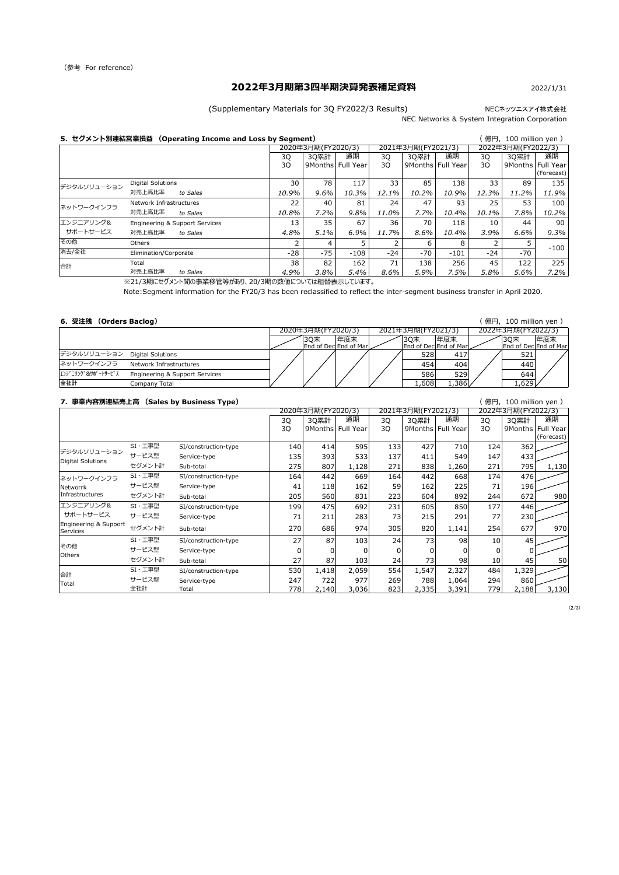## NECネッツエスアイ株式会社

NEC Networks & System Integration Corporation

# **2022年3月期第3四半期決算発表補足資料**

(Supplementary Materials for 3Q FY2022/3 Results)

### 2022/1/31

※21/3期にセグメント間の事業移管等があり、20/3期の数値については組替表示しています。

Note:Segment information for the FY20/3 has been reclassified to reflect the inter-segment business transfer in April 2020.

## **6.受注残 (Orders Baclog)** ( 億円, 100 million yen )

## **7.事業内容別連結売上高 (Sales by Business Type)** ( 億円, 100 million yen )

|  |  | (億円, 100 million yen) |  |  |
|--|--|-----------------------|--|--|
|--|--|-----------------------|--|--|

| 5. セグメント別連結営業損益<br>(Operating Income and Loss by Segment) |                          |                                           |       |                    |                     |          |                    |                     | 〔億円,100 million yen ) |                    |                   |
|-----------------------------------------------------------|--------------------------|-------------------------------------------|-------|--------------------|---------------------|----------|--------------------|---------------------|-----------------------|--------------------|-------------------|
|                                                           |                          |                                           |       | 2020年3月期(FY2020/3) |                     |          | 2021年3月期(FY2021/3) |                     |                       | 2022年3月期(FY2022/3) |                   |
|                                                           |                          |                                           | 3Q    | <b>30累計</b>        | 通期                  | 3Q       | 3Q累計               | 通期                  | 3Q                    | 3Q累計               | 通期                |
|                                                           |                          |                                           | 3Q    |                    | 9Months   Full Year | 3Q       |                    | 9Months   Full Year | 3Q                    |                    | 9Months Full Year |
|                                                           |                          |                                           |       |                    |                     |          |                    |                     |                       |                    | (Forecast)        |
| デジタルソリューション                                               | <b>Digital Solutions</b> |                                           | 30    | 78                 | 117                 | 33       | 85                 | 138                 | 33                    | 89                 | 135               |
|                                                           | 対売上高比率                   | to Sales                                  | 10.9% | 9.6%               | 10.3%               | 12.1%    | 10.2%              | 10.9%               | 12.3%                 | 11.2%              | 11.9%             |
| ネットワークインフラ                                                | Network Infrastructures  |                                           | 22    | 40                 | 81                  | 24       | 47                 | 93                  | 25                    | 53                 | 100               |
|                                                           | 対売上高比率                   | to Sales                                  | 10.8% | 7.2%               | 9.8%                | 11.0%    | 7.7%               | 10.4%               | 10.1%                 | 7.8%               | 10.2%             |
| エンジニアリング&                                                 |                          | <b>Engineering &amp; Support Services</b> | 13    | 35                 | 67                  | 36       | 70                 | 118                 | 10                    | 44                 | 90                |
| サポートサービス                                                  | 対売上高比率                   | to Sales                                  | 4.8%  | $5.1\%$            | $6.9\%$             | $11.7\%$ | 8.6%               | 10.4%               | 3.9%                  | 6.6%               | $9.3\%$           |
| その他                                                       | Others                   |                                           |       | 4                  |                     |          | 6                  | 8                   |                       |                    | $-100$            |
| 消去/全社                                                     | Elimination/Corporate    |                                           | $-28$ | $-75$              | $-108$              | $-24$    | $-70$              | $-101$              | $-24$                 | $-70$              |                   |
| 合計                                                        | Total                    |                                           | 38    | 82                 | 162                 | 71       | 138                | 256                 | 45                    | 122                | 225               |
|                                                           | 対売上高比率                   | to Sales                                  | 4.9%  | 3.8%               | $5.4\%$             | 8.6%     | 5.9%               | 7.5%                | 5.8%                  | 5.6%               | 7.2%              |

| . .                                                     |                    |     |                       |                       |       |                    |           |                               |
|---------------------------------------------------------|--------------------|-----|-----------------------|-----------------------|-------|--------------------|-----------|-------------------------------|
|                                                         | 2020年3月期(FY2020/3) |     |                       | 2021年3月期(FY2021/3)    |       | 2022年3月期(FY2022/3) |           |                               |
|                                                         |                    | 30末 | 年度末                   | '3Q末                  | 年度末   |                    | 30末       | 年度末                           |
|                                                         |                    |     | End of Dec End of Mar | End of Dec End of Mar |       |                    |           | <b>End of DeclEnd of Marl</b> |
| デジタルソリューション Digital Solutions                           |                    |     |                       | 528                   | 417   |                    | 521       |                               |
| ネットワークインフラ<br>Network Infrastructures                   |                    |     |                       | 454                   | 404   |                    | 440       |                               |
| エンシ゛ニリンク゛ &サポ ートサーヒ゛ス<br>Engineering & Support Services |                    |     |                       | 586                   | 529   |                    | 644       |                               |
| 全社計<br>Company Total                                    |                    |     |                       | 1,608                 | 1,386 |                    | $1,629$ / |                               |

|                                          |                          |                      |     | 2020年3月期(FY2020/3) |                     |     | 2021年3月期(FY2021/3) |                     |     | 2022年3月期(FY2022/3) |                     |
|------------------------------------------|--------------------------|----------------------|-----|--------------------|---------------------|-----|--------------------|---------------------|-----|--------------------|---------------------|
|                                          |                          |                      | 3Q  | <b>3Q累計</b>        | 通期                  | 3Q  | 3Q累計               | 通期                  | 3Q  | 3Q累計               | 通期                  |
|                                          |                          |                      | 30  |                    | 9Months   Full Year | 3Q  |                    | 9Months   Full Year | 3Q  |                    | 9Months   Full Year |
|                                          |                          |                      |     |                    |                     |     |                    |                     |     |                    | (Forecast)          |
|                                          | $SI \cdot \mathbb{I}$ 事型 | SI/construction-type | 140 | 414                | 595                 | 133 | 427                | 710                 | 124 | 362                |                     |
| デジタルソリューション<br><b>Digital Solutions</b>  | サービス型                    | Service-type         | 135 | 393                | 533                 | 137 | 411                | 549                 | 147 | 433                |                     |
|                                          | セグメント計                   | Sub-total            | 275 | 807                | 1,128               | 271 | 838                | 1,260               | 271 | 795                | 1,130               |
| ネットワークインフラ                               | $SI \cdot \mathbb{I}$ 事型 | SI/construction-type | 164 | 442                | 669                 | 164 | 442                | 668                 | 174 | 476                |                     |
| Networrk                                 | サービス型                    | Service-type         | 41  | 118                | 162                 | 59  | 162                | 225                 | 71  | 196                |                     |
| Infrastructures                          | セグメント計                   | Sub-total            | 205 | 560                | 831                 | 223 | 604                | 892                 | 244 | 672                | 980                 |
| エンジニアリング&                                | $SI \cdot \mathbb{I}$ 事型 | SI/construction-type | 199 | 475                | 692                 | 231 | 605                | 850                 | 177 | 446                |                     |
| サポートサービス                                 | サービス型                    | Service-type         | 71  | 211                | 283                 | 73  | 215                | 291                 | 77  | 230                |                     |
| Engineering & Support<br><b>Services</b> | セグメント計                   | Sub-total            | 270 | 686                | 974                 | 305 | 820                | 1,141               | 254 | 677                | 970                 |
|                                          | $SI \cdot \mathbb{I}$ 事型 | SI/construction-type | 27  | 87                 | 103                 | 24  | 73                 | 98                  | 10  | 45                 |                     |
| その他                                      | サービス型                    | Service-type         |     |                    |                     |     | $\Omega$           | $\overline{0}$      |     | $\Omega$           |                     |
| Others                                   | セグメント計                   | Sub-total            | 27  | 87                 | 103                 | 24  | 73                 | 98                  | 10  | 45                 | 50                  |
| 合計                                       | $SI \cdot \mathbb{I}$ 事型 | SI/construction-type | 530 | 1,418              | 2,059               | 554 | 1,547              | 2,327               | 484 | 1,329              |                     |
| Total                                    | サービス型                    | Service-type         | 247 | 722                | 977                 | 269 | 788                | 1,064               | 294 | 860                |                     |
|                                          | 全社計                      | Total                | 778 | 2,140              | 3,036               | 823 | 2,335              | 3,391               | 779 | 2,188              | 3,130               |